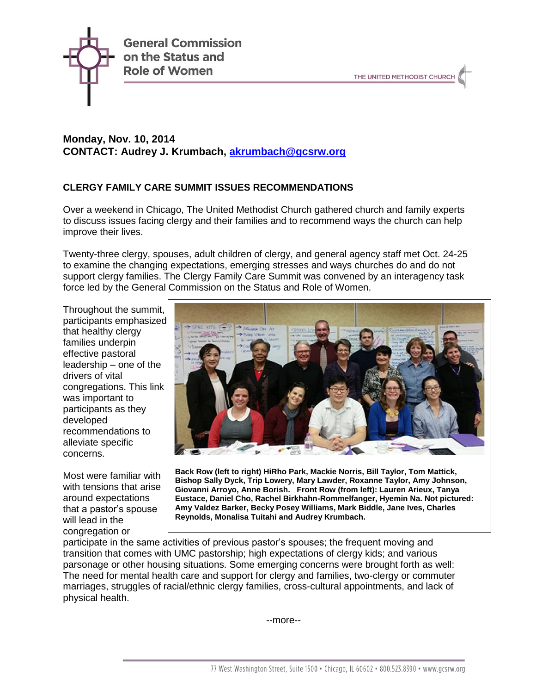

# **Monday, Nov. 10, 2014 CONTACT: Audrey J. Krumbach, [akrumbach@gcsrw.org](mailto:akrumbach@gcsrw.org)**

## **CLERGY FAMILY CARE SUMMIT ISSUES RECOMMENDATIONS**

Over a weekend in Chicago, The United Methodist Church gathered church and family experts to discuss issues facing clergy and their families and to recommend ways the church can help improve their lives.

Twenty-three clergy, spouses, adult children of clergy, and general agency staff met Oct. 24-25 to examine the changing expectations, emerging stresses and ways churches do and do not support clergy families. The Clergy Family Care Summit was convened by an interagency task force led by the General Commission on the Status and Role of Women.

Throughout the summit, participants emphasized that healthy clergy families underpin effective pastoral leadership – one of the drivers of vital congregations. This link was important to participants as they developed recommendations to alleviate specific concerns.

Most were familiar with with tensions that arise around expectations that a pastor's spouse will lead in the congregation or



**Back Row (left to right) HiRho Park, Mackie Norris, Bill Taylor, Tom Mattick, Bishop Sally Dyck, Trip Lowery, Mary Lawder, Roxanne Taylor, Amy Johnson, Giovanni Arroyo, Anne Borish. Front Row (from left): Lauren Arieux, Tanya Eustace, Daniel Cho, Rachel Birkhahn-Rommelfanger, Hyemin Na. Not pictured: Amy Valdez Barker, Becky Posey Williams, Mark Biddle, Jane Ives, Charles Reynolds, Monalisa Tuitahi and Audrey Krumbach.**

participate in the same activities of previous pastor's spouses; the frequent moving and transition that comes with UMC pastorship; high expectations of clergy kids; and various parsonage or other housing situations. Some emerging concerns were brought forth as well: The need for mental health care and support for clergy and families, two-clergy or commuter marriages, struggles of racial/ethnic clergy families, cross-cultural appointments, and lack of physical health.

--more--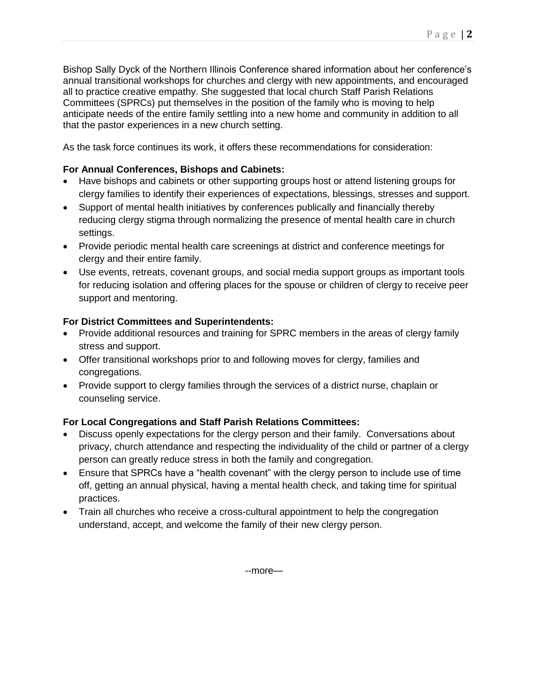Bishop Sally Dyck of the Northern Illinois Conference shared information about her conference's annual transitional workshops for churches and clergy with new appointments, and encouraged all to practice creative empathy. She suggested that local church Staff Parish Relations Committees (SPRCs) put themselves in the position of the family who is moving to help anticipate needs of the entire family settling into a new home and community in addition to all that the pastor experiences in a new church setting.

As the task force continues its work, it offers these recommendations for consideration:

#### **For Annual Conferences, Bishops and Cabinets:**

- Have bishops and cabinets or other supporting groups host or attend listening groups for clergy families to identify their experiences of expectations, blessings, stresses and support.
- Support of mental health initiatives by conferences publically and financially thereby reducing clergy stigma through normalizing the presence of mental health care in church settings.
- Provide periodic mental health care screenings at district and conference meetings for clergy and their entire family.
- Use events, retreats, covenant groups, and social media support groups as important tools for reducing isolation and offering places for the spouse or children of clergy to receive peer support and mentoring.

#### **For District Committees and Superintendents:**

- Provide additional resources and training for SPRC members in the areas of clergy family stress and support.
- Offer transitional workshops prior to and following moves for clergy, families and congregations.
- Provide support to clergy families through the services of a district nurse, chaplain or counseling service.

### **For Local Congregations and Staff Parish Relations Committees:**

- Discuss openly expectations for the clergy person and their family. Conversations about privacy, church attendance and respecting the individuality of the child or partner of a clergy person can greatly reduce stress in both the family and congregation.
- Ensure that SPRCs have a "health covenant" with the clergy person to include use of time off, getting an annual physical, having a mental health check, and taking time for spiritual practices.
- Train all churches who receive a cross-cultural appointment to help the congregation understand, accept, and welcome the family of their new clergy person.

--more—